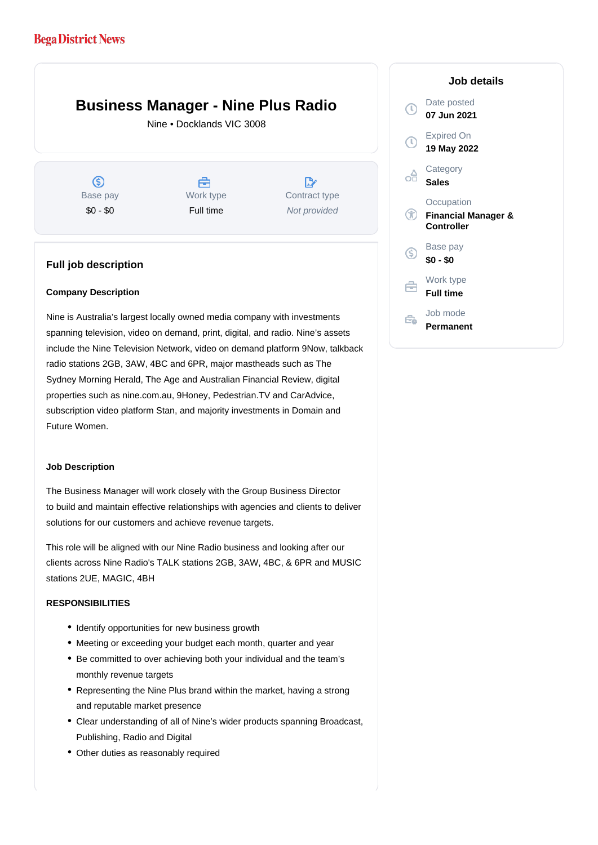# **Business Manager - Nine Plus Radio**

Nine • Docklands VIC 3008

 $\circledS$ Base pay \$0 - \$0

A Work type Full time

 $\mathbb{R}$ Contract type Not provided

# **Full job description**

### **Company Description**

Nine is Australia's largest locally owned media company with investments spanning television, video on demand, print, digital, and radio. Nine's assets include the Nine Television Network, video on demand platform 9Now, talkback radio stations 2GB, 3AW, 4BC and 6PR, major mastheads such as The Sydney Morning Herald, The Age and Australian Financial Review, digital properties such as nine.com.au, 9Honey, Pedestrian.TV and CarAdvice, subscription video platform Stan, and majority investments in Domain and Future Women.

# **Job Description**

The Business Manager will work closely with the Group Business Director to build and maintain effective relationships with agencies and clients to deliver solutions for our customers and achieve revenue targets.

This role will be aligned with our Nine Radio business and looking after our clients across Nine Radio's TALK stations 2GB, 3AW, 4BC, & 6PR and MUSIC stations 2UE, MAGIC, 4BH

# **RESPONSIBILITIES**

- Identify opportunities for new business growth
- Meeting or exceeding your budget each month, quarter and year
- Be committed to over achieving both your individual and the team's monthly revenue targets
- Representing the Nine Plus brand within the market, having a strong and reputable market presence
- Clear understanding of all of Nine's wider products spanning Broadcast, Publishing, Radio and Digital
- Other duties as reasonably required

#### **Job details** Date posted  $\left( 0\right)$ **07 Jun 2021** Expired On  $\circ$ **19 May 2022** Category œ **Sales Occupation**  $\circledR$ **Financial Manager & Controller** Base pay <sub>(S)</sub> **\$0 - \$0** Work type e **Full time** Job mode Ê. **Permanent**